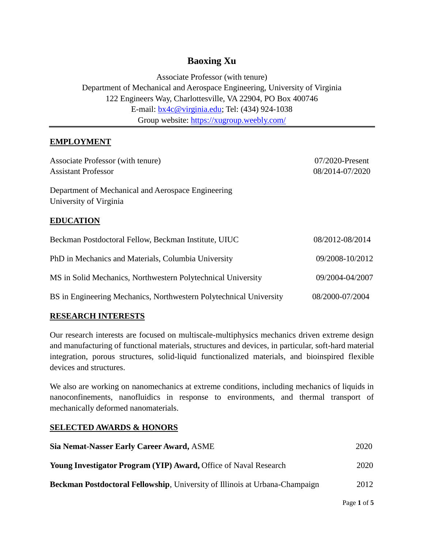# **Baoxing Xu**

Associate Professor (with tenure) Department of Mechanical and Aerospace Engineering, University of Virginia 122 Engineers Way, Charlottesville, VA 22904, PO Box 400746 E-mail: [bx4c@virginia.edu;](mailto:bx4c@virginia.edu) Tel: (434) 924-1038 Group website:<https://xugroup.weebly.com/>

## **EMPLOYMENT**

| Associate Professor (with tenure)                                            | $07/2020$ -Present |  |  |  |
|------------------------------------------------------------------------------|--------------------|--|--|--|
| <b>Assistant Professor</b>                                                   | 08/2014-07/2020    |  |  |  |
| Department of Mechanical and Aerospace Engineering<br>University of Virginia |                    |  |  |  |
| <b>EDUCATION</b>                                                             |                    |  |  |  |
| Beckman Postdoctoral Fellow, Beckman Institute, UIUC                         | 08/2012-08/2014    |  |  |  |
| PhD in Mechanics and Materials, Columbia University                          | 09/2008-10/2012    |  |  |  |
| MS in Solid Mechanics, Northwestern Polytechnical University                 | 09/2004-04/2007    |  |  |  |
| BS in Engineering Mechanics, Northwestern Polytechnical University           | 08/2000-07/2004    |  |  |  |

## **RESEARCH INTERESTS**

Our research interests are focused on multiscale-multiphysics mechanics driven extreme design and manufacturing of functional materials, structures and devices, in particular, soft-hard material integration, porous structures, solid-liquid functionalized materials, and bioinspired flexible devices and structures.

We also are working on nanomechanics at extreme conditions, including mechanics of liquids in nanoconfinements, nanofluidics in response to environments, and thermal transport of mechanically deformed nanomaterials.

## **SELECTED AWARDS & HONORS**

| Sia Nemat-Nasser Early Career Award, ASME                                          | 2020 |
|------------------------------------------------------------------------------------|------|
| <b>Young Investigator Program (YIP) Award, Office of Naval Research</b>            | 2020 |
| <b>Beckman Postdoctoral Fellowship, University of Illinois at Urbana-Champaign</b> | 2012 |

Page **1** of **5**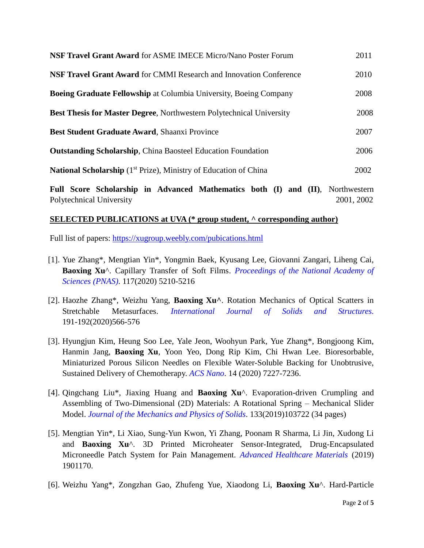| NSF Travel Grant Award for ASME IMECE Micro/Nano Poster Forum                       | 2011 |
|-------------------------------------------------------------------------------------|------|
| <b>NSF Travel Grant Award for CMMI Research and Innovation Conference</b>           | 2010 |
| <b>Boeing Graduate Fellowship at Columbia University, Boeing Company</b>            | 2008 |
| <b>Best Thesis for Master Degree, Northwestern Polytechnical University</b>         | 2008 |
| Best Student Graduate Award, Shaanxi Province                                       | 2007 |
| <b>Outstanding Scholarship, China Baosteel Education Foundation</b>                 | 2006 |
| <b>National Scholarship</b> (1 <sup>st</sup> Prize), Ministry of Education of China | 2002 |

**Full Score Scholarship in Advanced Mathematics both (I) and (II)**, Northwestern Polytechnical University 2001, 2002

#### **SELECTED PUBLICATIONS at UVA (\* group student, ^ corresponding author)**

Full list of papers:<https://xugroup.weebly.com/pubications.html>

- [1]. Yue Zhang\*, Mengtian Yin\*, Yongmin Baek, Kyusang Lee, Giovanni Zangari, Liheng Cai, **Baoxing Xu**^. Capillary Transfer of Soft Films. *Proceedings of the National Academy of Sciences (PNAS)*. 117(2020) 5210-5216
- [2]. Haozhe Zhang\*, Weizhu Yang, **Baoxing Xu^**. Rotation Mechanics of Optical Scatters in Stretchable Metasurfaces. *International Journal of Solids and Structures.* 191-192(2020)566-576
- [3]. Hyungjun Kim, Heung Soo Lee, Yale Jeon, Woohyun Park, Yue Zhang\*, Bongjoong Kim, Hanmin Jang, **Baoxing Xu**, Yoon Yeo, Dong Rip Kim, Chi Hwan Lee. Bioresorbable, Miniaturized Porous Silicon Needles on Flexible Water-Soluble Backing for Unobtrusive, Sustained Delivery of Chemotherapy. *ACS Nano*. 14 (2020) 7227-7236.
- [4]. Qingchang Liu\*, Jiaxing Huang and **Baoxing Xu**^. Evaporation-driven Crumpling and Assembling of Two-Dimensional (2D) Materials: A Rotational Spring – Mechanical Slider Model. *Journal of the Mechanics and Physics of Solids*. 133(2019)103722 (34 pages)
- [5]. Mengtian Yin\*, Li Xiao, Sung-Yun Kwon, Yi Zhang, Poonam R Sharma, Li Jin, Xudong Li and **Baoxing Xu**^. 3D Printed Microheater Sensor-Integrated, Drug-Encapsulated Microneedle Patch System for Pain Management. *Advanced Healthcare Materials* (2019) 1901170.
- [6]. Weizhu Yang\*, Zongzhan Gao, Zhufeng Yue, Xiaodong Li, **Baoxing Xu**^. Hard-Particle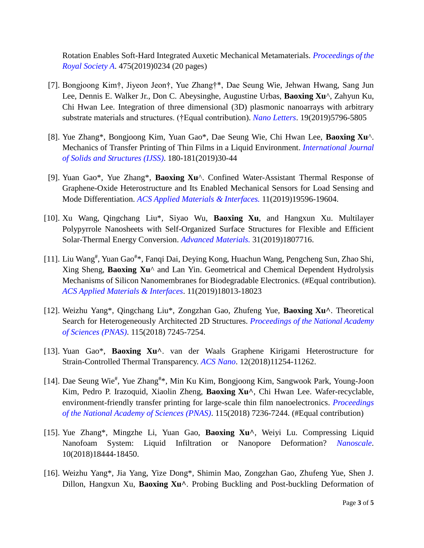Rotation Enables Soft-Hard Integrated Auxetic Mechanical Metamaterials. *Proceedings of the Royal Society A*. 475(2019)0234 (20 pages)

- [7]. Bongjoong Kim†, Jiyeon Jeon†, Yue Zhang†\*, Dae Seung Wie, Jehwan Hwang, Sang Jun Lee, Dennis E. Walker Jr., Don C. Abeysinghe, Augustine Urbas, **Baoxing Xu**^, Zahyun Ku, Chi Hwan Lee. Integration of three dimensional (3D) plasmonic nanoarrays with arbitrary substrate materials and structures. (†Equal contribution). *Nano Letters*. 19(2019)5796-5805
- [8]. Yue Zhang\*, Bongjoong Kim, Yuan Gao\*, Dae Seung Wie, Chi Hwan Lee, **Baoxing Xu**^. Mechanics of Transfer Printing of Thin Films in a Liquid Environment. *International Journal of Solids and Structures (IJSS)*. 180-181(2019)30-44
- [9]. Yuan Gao\*, Yue Zhang\*, **Baoxing Xu**^. Confined Water-Assistant Thermal Response of Graphene-Oxide Heterostructure and Its Enabled Mechanical Sensors for Load Sensing and Mode Differentiation. *ACS Applied Materials & Interfaces.* 11(2019)19596-19604.
- [10]. Xu Wang, Qingchang Liu\*, Siyao Wu, **Baoxing Xu**, and Hangxun Xu. Multilayer Polypyrrole Nanosheets with Self-Organized Surface Structures for Flexible and Efficient Solar-Thermal Energy Conversion. *Advanced Materials.* 31(2019)1807716.
- [11]. Liu Wang<sup>#</sup>, Yuan Gao<sup>#\*</sup>, Fanqi Dai, Deying Kong, Huachun Wang, Pengcheng Sun, Zhao Shi, Xing Sheng, **Baoxing Xu**^ and Lan Yin. Geometrical and Chemical Dependent Hydrolysis Mechanisms of Silicon Nanomembranes for Biodegradable Electronics. (#Equal contribution). *ACS Applied Materials & Interfaces*. 11(2019)18013-18023
- [12]. Weizhu Yang\*, Qingchang Liu\*, Zongzhan Gao, Zhufeng Yue, **Baoxing Xu^**. Theoretical Search for Heterogeneously Architected 2D Structures. *Proceedings of the National Academy of Sciences (PNAS)*. 115(2018) 7245-7254.
- [13]. Yuan Gao\*, **Baoxing Xu^**. van der Waals Graphene Kirigami Heterostructure for Strain-Controlled Thermal Transparency. *ACS Nano*. 12(2018)11254-11262.
- [14]. Dae Seung Wie<sup>#</sup>, Yue Zhang<sup>#\*</sup>, Min Ku Kim, Bongjoong Kim, Sangwook Park, Young-Joon Kim, Pedro P. Irazoquid, Xiaolin Zheng, **Baoxing Xu^**, Chi Hwan Lee. Wafer-recyclable, environment-friendly transfer printing for large-scale thin film nanoelectronics. *Proceedings of the National Academy of Sciences (PNAS)*. 115(2018) 7236-7244. (#Equal contribution)
- [15]. Yue Zhang\*, Mingzhe Li, Yuan Gao, **Baoxing Xu^**, Weiyi Lu. Compressing Liquid Nanofoam System: Liquid Infiltration or Nanopore Deformation? *Nanoscale*. 10(2018)18444-18450.
- [16]. Weizhu Yang\*, Jia Yang, Yize Dong\*, Shimin Mao, Zongzhan Gao, Zhufeng Yue, Shen J. Dillon, Hangxun Xu, **Baoxing Xu^**. Probing Buckling and Post-buckling Deformation of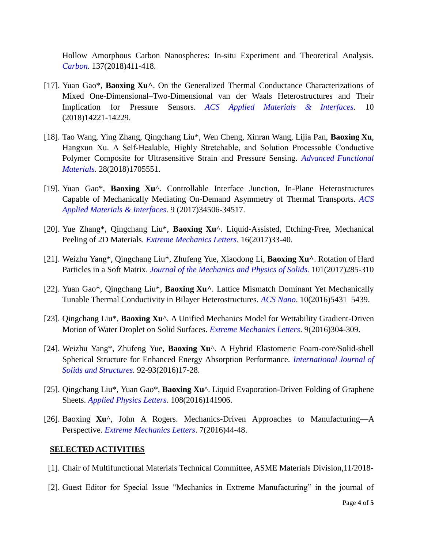Hollow Amorphous Carbon Nanospheres: In-situ Experiment and Theoretical Analysis. *Carbon.* 137(2018)411-418.

- [17]. Yuan Gao\*, **Baoxing Xu^**. On the Generalized Thermal Conductance Characterizations of Mixed One-Dimensional–Two-Dimensional van der Waals Heterostructures and Their Implication for Pressure Sensors. *ACS Applied Materials & Interfaces*. 10 (2018)14221-14229.
- [18]. Tao Wang, Ying Zhang, Qingchang Liu\*, Wen Cheng, Xinran Wang, Lijia Pan, **Baoxing Xu**, Hangxun Xu. A Self‐Healable, Highly Stretchable, and Solution Processable Conductive Polymer Composite for Ultrasensitive Strain and Pressure Sensing. *Advanced Functional Materials*. 28(2018)1705551.
- [19]. Yuan Gao\*, **Baoxing Xu**^. Controllable Interface Junction, In-Plane Heterostructures Capable of Mechanically Mediating On-Demand Asymmetry of Thermal Transports. *ACS Applied Materials & Interfaces*. 9 (2017)34506-34517.
- [20]. Yue Zhang\*, Qingchang Liu\*, **Baoxing Xu**^. Liquid-Assisted, Etching-Free, Mechanical Peeling of 2D Materials. *Extreme Mechanics Letters*. 16(2017)33-40.
- [21]. Weizhu Yang\*, Qingchang Liu\*, Zhufeng Yue, Xiaodong Li, **Baoxing Xu^**. Rotation of Hard Particles in a Soft Matrix. *Journal of the Mechanics and Physics of Solids.* 101(2017)285-310
- [22]. Yuan Gao\*, Qingchang Liu\*, **Baoxing Xu^**. Lattice Mismatch Dominant Yet Mechanically Tunable Thermal Conductivity in Bilayer Heterostructures. *ACS Nano*. 10(2016)5431–5439.
- [23]. Qingchang Liu\*, **Baoxing Xu**^. A Unified Mechanics Model for Wettability Gradient-Driven Motion of Water Droplet on Solid Surfaces. *Extreme Mechanics Letters*. 9(2016)304-309.
- [24]. Weizhu Yang\*, Zhufeng Yue, **Baoxing Xu**^. A Hybrid Elastomeric Foam-core/Solid-shell Spherical Structure for Enhanced Energy Absorption Performance. *International Journal of Solids and Structures.* 92-93(2016)17-28.
- [25]. Qingchang Liu\*, Yuan Gao\*, **Baoxing Xu**^. Liquid Evaporation-Driven Folding of Graphene Sheets. *Applied Physics Letters*. 108(2016)141906.
- [26]. Baoxing **Xu**^, John A Rogers. Mechanics-Driven Approaches to Manufacturing—A Perspective. *Extreme Mechanics Letters*. 7(2016)44-48.

#### **SELECTED ACTIVITIES**

- [1]. Chair of Multifunctional Materials Technical Committee, ASME Materials Division,11/2018-
- [2]. Guest Editor for Special Issue "Mechanics in Extreme Manufacturing" in the journal of